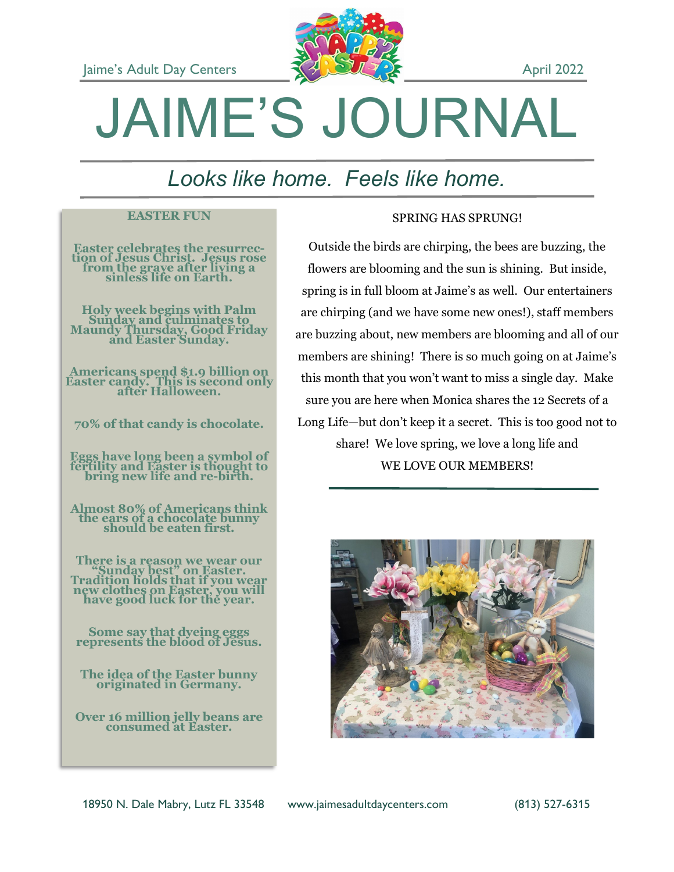

# JAIME'S JOURNAL

# *Looks like home. Feels like home.*

### **EASTER FUN**

**Easter celebrates the resurrection of Jesus Christ. Jesus rose from the grave after living a sinless life on Earth.**

**Holy week begins with Palm Sunday and culminates to Maundy Thursday, Good Friday and Easter Sunday.**

**Americans spend \$1.9 billion on Easter candy. This is second only after Halloween.**

**70% of that candy is chocolate.**

**Eggs have long been a symbol of fertility and Easter is thought to bring new life and re-birth.**

**Almost 80% of Americans think the ears of a chocolate bunny should be eaten first.**

**There is a reason we wear our "Sunday best" on Easter. Tradition holds that if you wear new clothes on Easter, you will have good luck for the year.**

**Some say that dyeing eggs represents the blood of Jesus.**

**The idea of the Easter bunny originated in Germany.**

**Over 16 million jelly beans are consumed at Easter.**

### SPRING HAS SPRUNG!

Outside the birds are chirping, the bees are buzzing, the flowers are blooming and the sun is shining. But inside, spring is in full bloom at Jaime's as well. Our entertainers are chirping (and we have some new ones!), staff members are buzzing about, new members are blooming and all of our members are shining! There is so much going on at Jaime's this month that you won't want to miss a single day. Make sure you are here when Monica shares the 12 Secrets of a Long Life—but don't keep it a secret. This is too good not to share! We love spring, we love a long life and WE LOVE OUR MEMBERS!



18950 N. Dale Mabry, Lutz FL 33548 www.jaimesadultdaycenters.com (813) 527-6315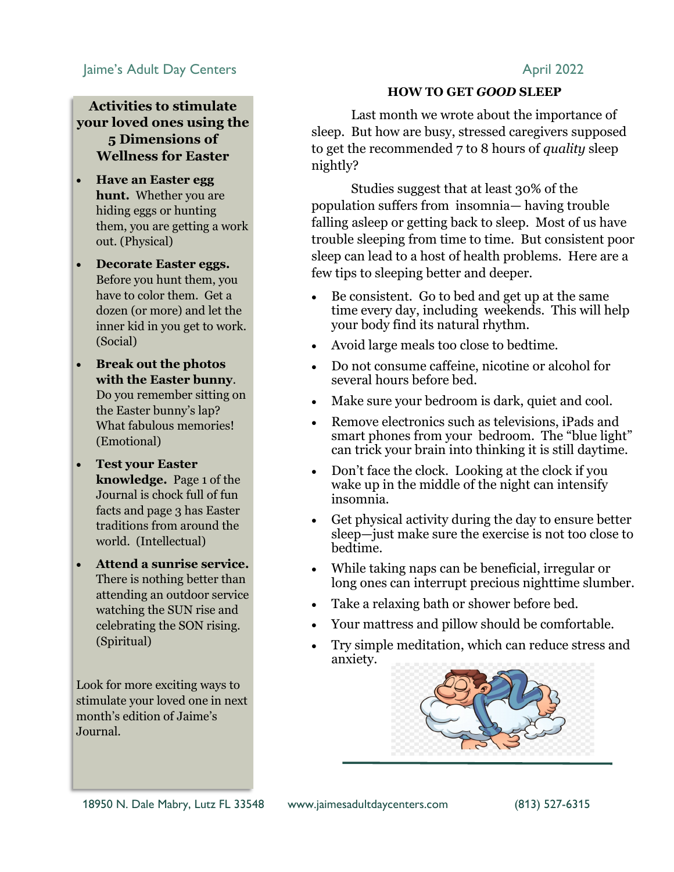### Jaime's Adult Day Centers **April 2022**

### **Activities to stimulate your loved ones using the 5 Dimensions of Wellness for Easter**

- **Have an Easter egg hunt.** Whether you are hiding eggs or hunting them, you are getting a work out. (Physical)
- **Decorate Easter eggs.**  Before you hunt them, you have to color them. Get a dozen (or more) and let the inner kid in you get to work. (Social)
- **Break out the photos with the Easter bunny**. Do you remember sitting on the Easter bunny's lap? What fabulous memories! (Emotional)
- **Test your Easter knowledge.** Page 1 of the Journal is chock full of fun facts and page 3 has Easter traditions from around the world. (Intellectual)
- **Attend a sunrise service.**  There is nothing better than attending an outdoor service watching the SUN rise and celebrating the SON rising. (Spiritual)

Look for more exciting ways to stimulate your loved one in next month's edition of Jaime's Journal.

### **HOW TO GET** *GOOD* **SLEEP**

Last month we wrote about the importance of sleep. But how are busy, stressed caregivers supposed to get the recommended 7 to 8 hours of *quality* sleep nightly?

Studies suggest that at least 30% of the population suffers from insomnia— having trouble falling asleep or getting back to sleep. Most of us have trouble sleeping from time to time. But consistent poor sleep can lead to a host of health problems. Here are a few tips to sleeping better and deeper.

- Be consistent. Go to bed and get up at the same time every day, including weekends. This will help your body find its natural rhythm.
- Avoid large meals too close to bedtime.
- Do not consume caffeine, nicotine or alcohol for several hours before bed.
- Make sure your bedroom is dark, quiet and cool.
- Remove electronics such as televisions, iPads and smart phones from your bedroom. The "blue light" can trick your brain into thinking it is still daytime.
- Don't face the clock. Looking at the clock if you wake up in the middle of the night can intensify insomnia.
- Get physical activity during the day to ensure better sleep—just make sure the exercise is not too close to bedtime.
- While taking naps can be beneficial, irregular or long ones can interrupt precious nighttime slumber.
- Take a relaxing bath or shower before bed.
- Your mattress and pillow should be comfortable.
- Try simple meditation, which can reduce stress and anxiety.

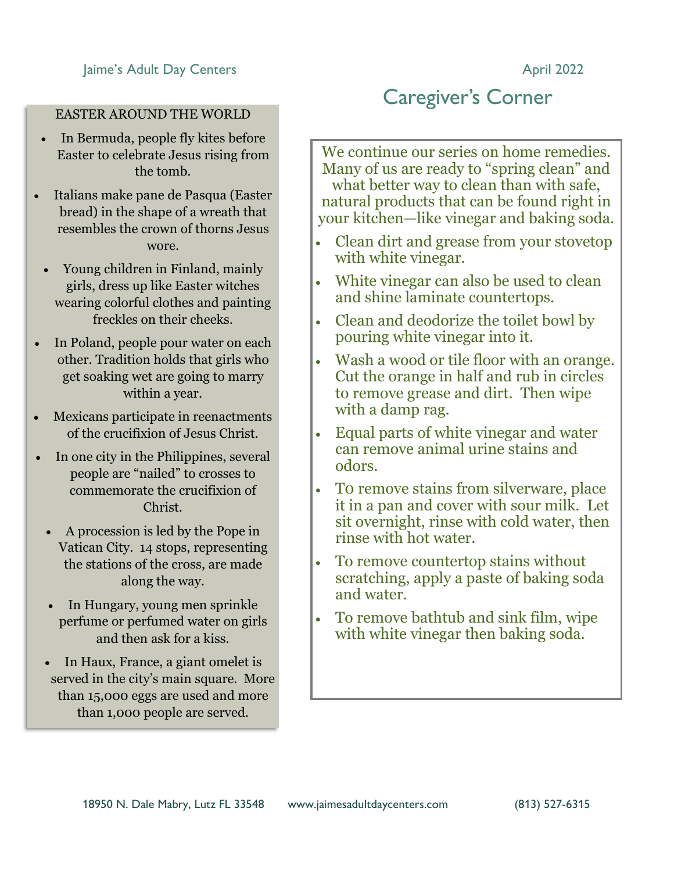### EASTER AROUND THE WORLD

- In Bermuda, people fly kites before Easter to celebrate Jesus rising from the tomb.
- Italians make pane de Pasqua (Easter bread) in the shape of a wreath that resembles the crown of thorns Jesus wore.
	- Young children in Finland, mainly girls, dress up like Easter witches wearing colorful clothes and painting freckles on their cheeks.
- In Poland, people pour water on each other. Tradition holds that girls who get soaking wet are going to marry within a year.
- Mexicans participate in reenactments of the crucifixion of Jesus Christ.
- In one city in the Philippines, several people are "nailed" to crosses to commemorate the crucifixion of Christ.
	- A procession is led by the Pope in Vatican City. 14 stops, representing the stations of the cross, are made along the way.
	- In Hungary, young men sprinkle perfume or perfumed water on girls and then ask for a kiss.
	- In Haux, France, a giant omelet is served in the city's main square. More than 15,000 eggs are used and more than 1,000 people are served.

## Caregiver's Corner

We continue our series on home remedies. Many of us are ready to "spring clean" and what better way to clean than with safe, natural products that can be found right in your kitchen—like vinegar and baking soda.

- Clean dirt and grease from your stovetop with white vinegar.
- White vinegar can also be used to clean and shine laminate countertops.
- Clean and deodorize the toilet bowl by pouring white vinegar into it.
- Wash a wood or tile floor with an orange. Cut the orange in half and rub in circles to remove grease and dirt. Then wipe with a damp rag.
- Equal parts of white vinegar and water can remove animal urine stains and odors.
- T0 remove stains from silverware, place it in a pan and cover with sour milk. Let sit overnight, rinse with cold water, then rinse with hot water.
- To remove countertop stains without scratching, apply a paste of baking soda and water.
- To remove bathtub and sink film, wipe with white vinegar then baking soda.